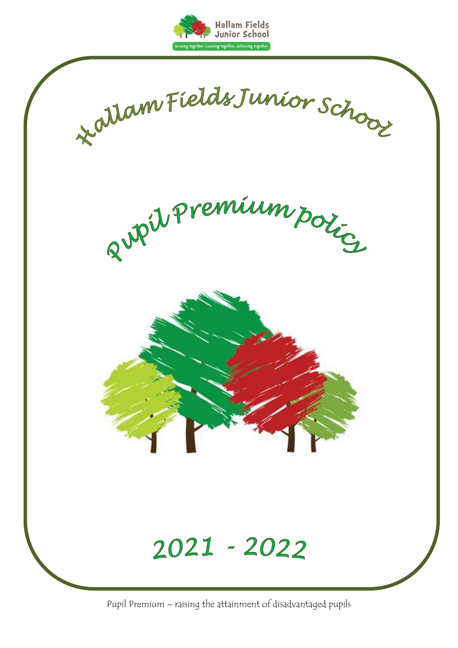



Pupil Premium – raising the attainment of disadvantaged pupils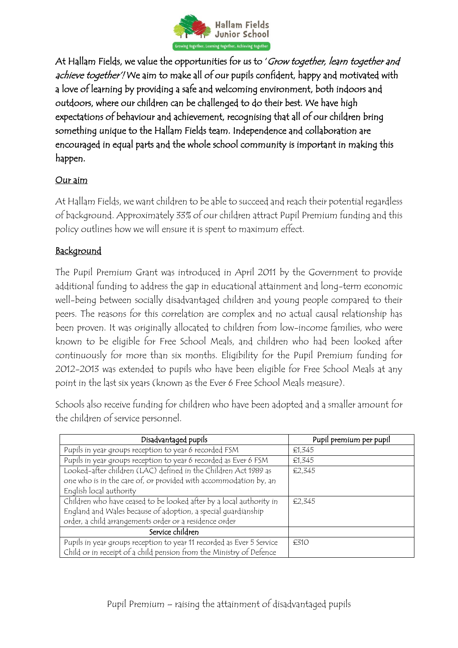

At Hallam Fields, we value the opportunities for us to 'Grow together, learn together and achieve together! We aim to make all of our pupils confident, happy and motivated with a love of learning by providing a safe and welcoming environment, both indoors and outdoors, where our children can be challenged to do their best. We have high expectations of behaviour and achievement, recognising that all of our children bring something unique to the Hallam Fields team. Independence and collaboration are encouraged in equal parts and the whole school community is important in making this happen.

## Our aim

At Hallam Fields, we want children to be able to succeed and reach their potential regardless of background. Approximately 33% of our children attract Pupil Premium funding and this policy outlines how we will ensure it is spent to maximum effect.

## **Background**

The Pupil Premium Grant was introduced in April 2011 by the Government to provide additional funding to address the gap in educational attainment and long-term economic well-being between socially disadvantaged children and young people compared to their peers. The reasons for this correlation are complex and no actual causal relationship has been proven. It was originally allocated to children from low-income families, who were known to be eligible for Free School Meals, and children who had been looked after continuously for more than six months. Eligibility for the Pupil Premium funding for 2012-2013 was extended to pupils who have been eligible for Free School Meals at any point in the last six years (known as the Ever 6 Free School Meals measure).

Schools also receive funding for children who have been adopted and a smaller amount for the children of service personnel.

| Disadvantaged pupils                                                  | Pupil premium per pupil |
|-----------------------------------------------------------------------|-------------------------|
| Pupils in year groups reception to year 6 recorded FSM                | £1,345                  |
| Pupils in year groups reception to year 6 recorded as Ever 6 FSM      | £1,345                  |
| Looked-after children (LAC) defined in the Children Act 1989 as       | €2,345                  |
| one who is in the care of, or provided with accommodation by, an      |                         |
| English local authority                                               |                         |
| Children who have ceased to be looked after by a local authority in   | €2,345                  |
| England and Wales because of adoption, a special quardianship         |                         |
| order, a child arrangements order or a residence order                |                         |
| Service children                                                      |                         |
| Pupils in year groups reception to year 11 recorded as Ever 5 Service | E310                    |
| Child or in receipt of a child pension from the Ministry of Defence   |                         |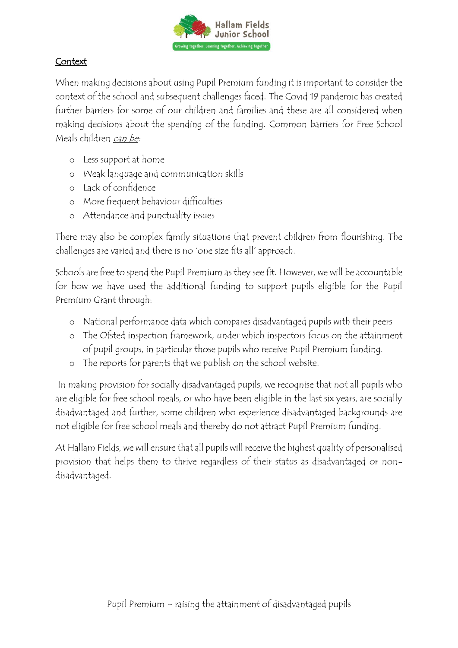

## **Context**

When making decisions about using Pupil Premium funding it is important to consider the context of the school and subsequent challenges faced. The Covid 19 pandemic has created further barriers for some of our children and families and these are all considered when making decisions about the spending of the funding. Common barriers for Free School Meals children can be:

- o Less support at home
- o Weak language and communication skills
- o Lack of confidence
- o More frequent behaviour difficulties
- o Attendance and punctuality issues

There may also be complex family situations that prevent children from flourishing. The challenges are varied and there is no 'one size fits all' approach.

Schools are free to spend the Pupil Premium as they see fit. However, we will be accountable for how we have used the additional funding to support pupils eligible for the Pupil Premium Grant through:

- o National performance data which compares disadvantaged pupils with their peers
- o The Ofsted inspection framework, under which inspectors focus on the attainment of pupil groups, in particular those pupils who receive Pupil Premium funding.
- o The reports for parents that we publish on the school website.

In making provision for socially disadvantaged pupils, we recognise that not all pupils who are eligible for free school meals, or who have been eligible in the last six years, are socially disadvantaged and further, some children who experience disadvantaged backgrounds are not eligible for free school meals and thereby do not attract Pupil Premium funding.

At Hallam Fields, we will ensure that all pupils will receive the highest quality of personalised provision that helps them to thrive regardless of their status as disadvantaged or nondisadvantaged.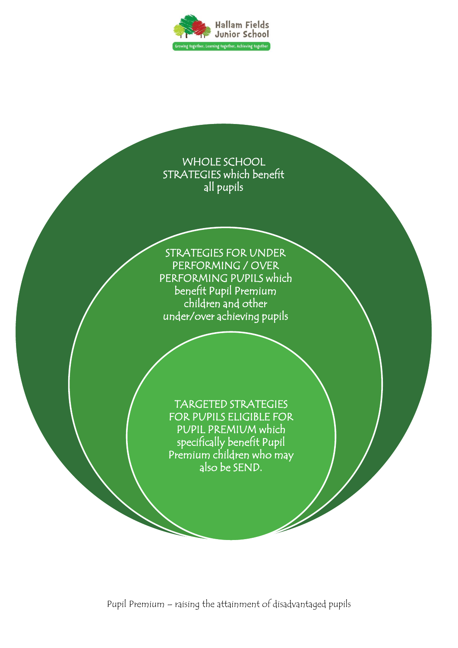



Pupil Premium – raising the attainment of disadvantaged pupils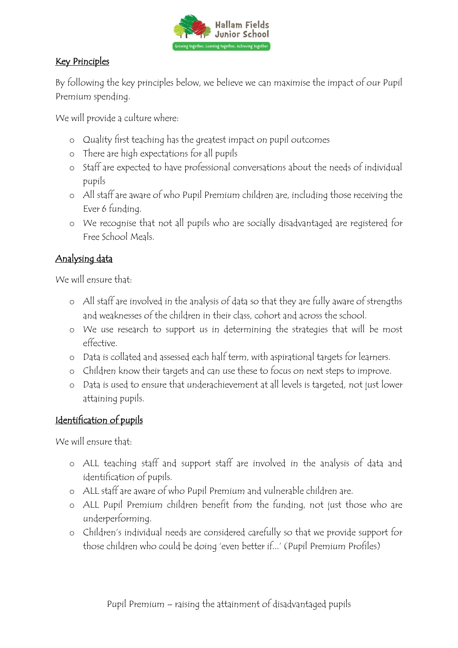

## Key Principles

By following the key principles below, we believe we can maximise the impact of our Pupil Premium spending.

We will provide a culture where:

- o Quality first teaching has the greatest impact on pupil outcomes
- o There are high expectations for all pupils
- o Staff are expected to have professional conversations about the needs of individual pupils
- o All staff are aware of who Pupil Premium children are, including those receiving the Ever 6 funding.
- o We recognise that not all pupils who are socially disadvantaged are registered for Free School Meals.

# Analysing data

We will ensure that.

- o All staff are involved in the analysis of data so that they are fully aware of strengths and weaknesses of the children in their class, cohort and across the school.
- o We use research to support us in determining the strategies that will be most effective.
- o Data is collated and assessed each half term, with aspirational targets for learners.
- o Children know their targets and can use these to focus on next steps to improve.
- o Data is used to ensure that underachievement at all levels is targeted, not just lower attaining pupils.

# Identification of pupils

We will ensure that:

- o ALL teaching staff and support staff are involved in the analysis of data and identification of pupils.
- o ALL staff are aware of who Pupil Premium and vulnerable children are.
- o ALL Pupil Premium children benefit from the funding, not just those who are underperforming.
- o Children's individual needs are considered carefully so that we provide support for those children who could be doing 'even better if...' (Pupil Premium Profiles)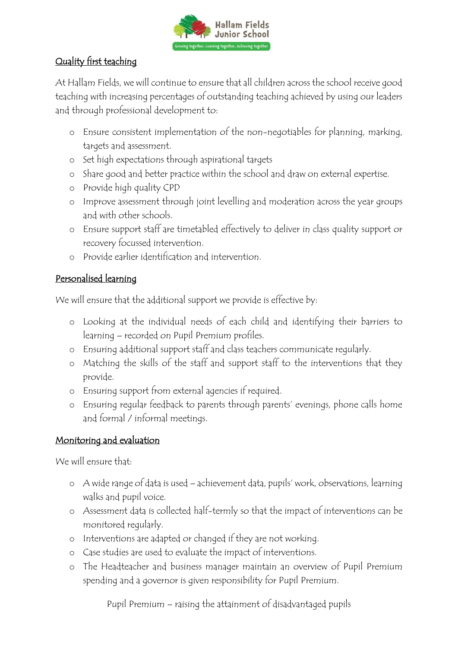

# Quality first teaching

At Hallam Fields, we will continue to ensure that all children across the school receive good teaching with increasing percentages of outstanding teaching achieved by using our leaders and through professional development to:

- o Ensure consistent implementation of the non-negotiables for planning, marking, targets and assessment.
- o Set high expectations through aspirational targets
- o Share good and better practice within the school and draw on external expertise.
- o Provide high quality CPD
- o Improve assessment through joint levelling and moderation across the year groups and with other schools.
- o Ensure support staff are timetabled effectively to deliver in class quality support or recovery focussed intervention.
- o Provide earlier identification and intervention.

## Personalised learning

We will ensure that the additional support we provide is effective by:

- o Looking at the individual needs of each child and identifying their barriers to learning – recorded on Pupil Premium profiles.
- o Ensuring additional support staff and class teachers communicate regularly.
- o Matching the skills of the staff and support staff to the interventions that they provide.
- o Ensuring support from external agencies if required.
- o Ensuring regular feedback to parents through parents' evenings, phone calls home and formal / informal meetings.

# Monitoring and evaluation

We will ensure that:

- o A wide range of data is used achievement data, pupils' work, observations, learning walks and pupil voice.
- o Assessment data is collected half-termly so that the impact of interventions can be monitored regularly.
- o Interventions are adapted or changed if they are not working.
- o Case studies are used to evaluate the impact of interventions.
- o The Headteacher and business manager maintain an overview of Pupil Premium spending and a governor is given responsibility for Pupil Premium.

Pupil Premium – raising the attainment of disadvantaged pupils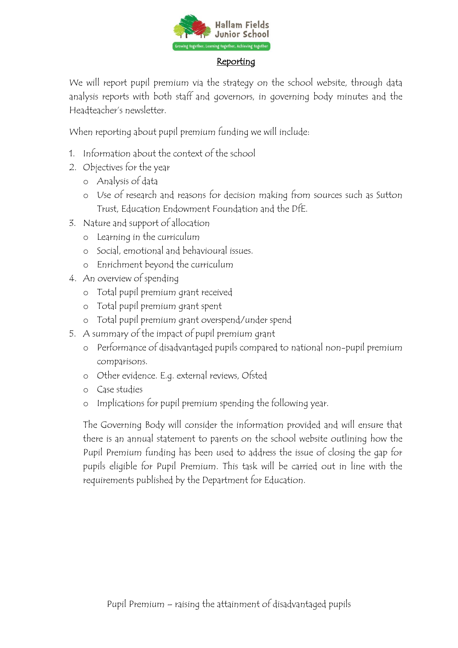

#### **Reporting**

We will report pupil premium via the strategy on the school website, through data analysis reports with both staff and governors, in governing body minutes and the Headteacher's newsletter.

When reporting about pupil premium funding we will include:

- 1. Information about the context of the school
- 2. Objectives for the year
	- o Analysis of data
	- o Use of research and reasons for decision making from sources such as Sutton Trust, Education Endowment Foundation and the DfE.
- 3. Nature and support of allocation
	- o Learning in the curriculum
	- o Social, emotional and behavioural issues.
	- o Enrichment beyond the curriculum
- 4. An overview of spending
	- o Total pupil premium grant received
	- o Total pupil premium grant spent
	- o Total pupil premium grant overspend/under spend
- 5. A summary of the impact of pupil premium grant
	- o Performance of disadvantaged pupils compared to national non-pupil premium comparisons.
	- o Other evidence. E.g. external reviews, Ofsted
	- o Case studies
	- o Implications for pupil premium spending the following year.

The Governing Body will consider the information provided and will ensure that there is an annual statement to parents on the school website outlining how the Pupil Premium funding has been used to address the issue of closing the gap for pupils eligible for Pupil Premium. This task will be carried out in line with the requirements published by the Department for Education.